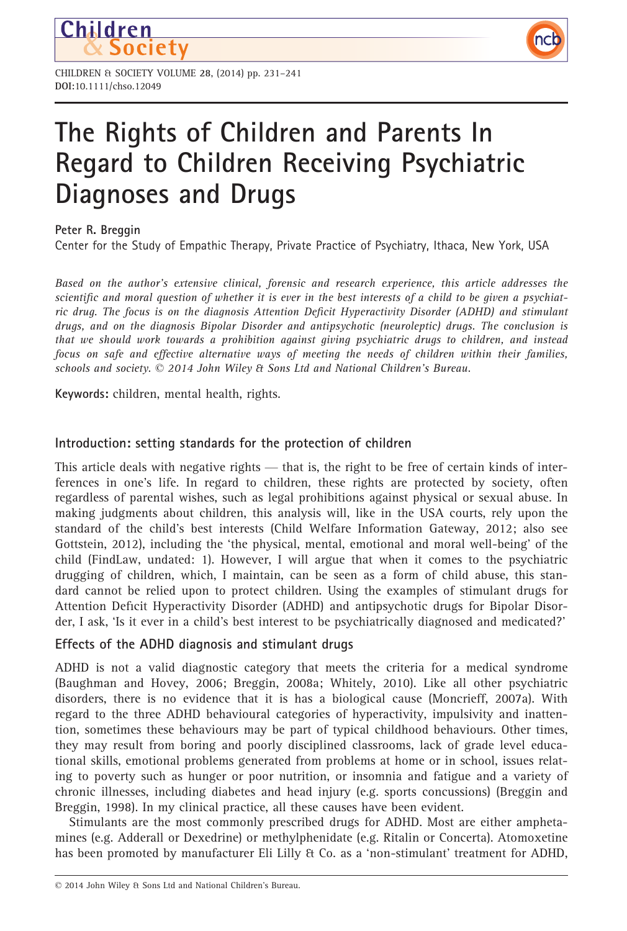

# The Rights of Children and Parents In Regard to Children Receiving Psychiatric Diagnoses and Drugs

nct

# Peter R. Breggin

Children

Center for the Study of Empathic Therapy, Private Practice of Psychiatry, Ithaca, New York, USA

Based on the author's extensive clinical, forensic and research experience, this article addresses the scientific and moral question of whether it is ever in the best interests of a child to be given a psychiatric drug. The focus is on the diagnosis Attention Deficit Hyperactivity Disorder (ADHD) and stimulant drugs, and on the diagnosis Bipolar Disorder and antipsychotic (neuroleptic) drugs. The conclusion is that we should work towards a prohibition against giving psychiatric drugs to children, and instead focus on safe and effective alternative ways of meeting the needs of children within their families, schools and society.  $\odot$  2014 John Wiley & Sons Ltd and National Children's Bureau.

Keywords: children, mental health, rights.

# Introduction: setting standards for the protection of children

This article deals with negative rights — that is, the right to be free of certain kinds of interferences in one's life. In regard to children, these rights are protected by society, often regardless of parental wishes, such as legal prohibitions against physical or sexual abuse. In making judgments about children, this analysis will, like in the USA courts, rely upon the standard of the child's best interests (Child Welfare Information Gateway, 2012; also see Gottstein, 2012), including the 'the physical, mental, emotional and moral well-being' of the child (FindLaw, undated: 1). However, I will argue that when it comes to the psychiatric drugging of children, which, I maintain, can be seen as a form of child abuse, this standard cannot be relied upon to protect children. Using the examples of stimulant drugs for Attention Deficit Hyperactivity Disorder (ADHD) and antipsychotic drugs for Bipolar Disorder, I ask, 'Is it ever in a child's best interest to be psychiatrically diagnosed and medicated?'

## Effects of the ADHD diagnosis and stimulant drugs

ADHD is not a valid diagnostic category that meets the criteria for a medical syndrome (Baughman and Hovey, 2006; Breggin, 2008a; Whitely, 2010). Like all other psychiatric disorders, there is no evidence that it is has a biological cause (Moncrieff, 2007a). With regard to the three ADHD behavioural categories of hyperactivity, impulsivity and inattention, sometimes these behaviours may be part of typical childhood behaviours. Other times, they may result from boring and poorly disciplined classrooms, lack of grade level educational skills, emotional problems generated from problems at home or in school, issues relating to poverty such as hunger or poor nutrition, or insomnia and fatigue and a variety of chronic illnesses, including diabetes and head injury (e.g. sports concussions) (Breggin and Breggin, 1998). In my clinical practice, all these causes have been evident.

Stimulants are the most commonly prescribed drugs for ADHD. Most are either amphetamines (e.g. Adderall or Dexedrine) or methylphenidate (e.g. Ritalin or Concerta). Atomoxetine has been promoted by manufacturer Eli Lilly & Co. as a 'non-stimulant' treatment for ADHD,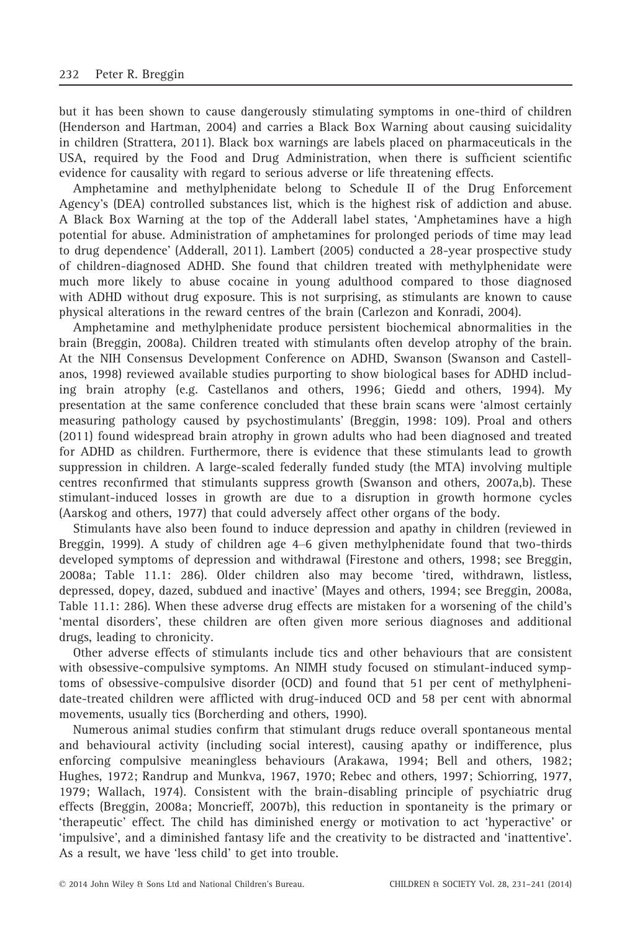but it has been shown to cause dangerously stimulating symptoms in one-third of children (Henderson and Hartman, 2004) and carries a Black Box Warning about causing suicidality in children (Strattera, 2011). Black box warnings are labels placed on pharmaceuticals in the USA, required by the Food and Drug Administration, when there is sufficient scientific evidence for causality with regard to serious adverse or life threatening effects.

Amphetamine and methylphenidate belong to Schedule II of the Drug Enforcement Agency's (DEA) controlled substances list, which is the highest risk of addiction and abuse. A Black Box Warning at the top of the Adderall label states, 'Amphetamines have a high potential for abuse. Administration of amphetamines for prolonged periods of time may lead to drug dependence' (Adderall, 2011). Lambert (2005) conducted a 28-year prospective study of children-diagnosed ADHD. She found that children treated with methylphenidate were much more likely to abuse cocaine in young adulthood compared to those diagnosed with ADHD without drug exposure. This is not surprising, as stimulants are known to cause physical alterations in the reward centres of the brain (Carlezon and Konradi, 2004).

Amphetamine and methylphenidate produce persistent biochemical abnormalities in the brain (Breggin, 2008a). Children treated with stimulants often develop atrophy of the brain. At the NIH Consensus Development Conference on ADHD, Swanson (Swanson and Castellanos, 1998) reviewed available studies purporting to show biological bases for ADHD including brain atrophy (e.g. Castellanos and others, 1996; Giedd and others, 1994). My presentation at the same conference concluded that these brain scans were 'almost certainly measuring pathology caused by psychostimulants' (Breggin, 1998: 109). Proal and others (2011) found widespread brain atrophy in grown adults who had been diagnosed and treated for ADHD as children. Furthermore, there is evidence that these stimulants lead to growth suppression in children. A large-scaled federally funded study (the MTA) involving multiple centres reconfirmed that stimulants suppress growth (Swanson and others, 2007a,b). These stimulant-induced losses in growth are due to a disruption in growth hormone cycles (Aarskog and others, 1977) that could adversely affect other organs of the body.

Stimulants have also been found to induce depression and apathy in children (reviewed in Breggin, 1999). A study of children age 4–6 given methylphenidate found that two-thirds developed symptoms of depression and withdrawal (Firestone and others, 1998; see Breggin, 2008a; Table 11.1: 286). Older children also may become 'tired, withdrawn, listless, depressed, dopey, dazed, subdued and inactive' (Mayes and others, 1994; see Breggin, 2008a, Table 11.1: 286). When these adverse drug effects are mistaken for a worsening of the child's 'mental disorders', these children are often given more serious diagnoses and additional drugs, leading to chronicity.

Other adverse effects of stimulants include tics and other behaviours that are consistent with obsessive-compulsive symptoms. An NIMH study focused on stimulant-induced symptoms of obsessive-compulsive disorder (OCD) and found that 51 per cent of methylphenidate-treated children were afflicted with drug-induced OCD and 58 per cent with abnormal movements, usually tics (Borcherding and others, 1990).

Numerous animal studies confirm that stimulant drugs reduce overall spontaneous mental and behavioural activity (including social interest), causing apathy or indifference, plus enforcing compulsive meaningless behaviours (Arakawa, 1994; Bell and others, 1982; Hughes, 1972; Randrup and Munkva, 1967, 1970; Rebec and others, 1997; Schiorring, 1977, 1979; Wallach, 1974). Consistent with the brain-disabling principle of psychiatric drug effects (Breggin, 2008a; Moncrieff, 2007b), this reduction in spontaneity is the primary or 'therapeutic' effect. The child has diminished energy or motivation to act 'hyperactive' or 'impulsive', and a diminished fantasy life and the creativity to be distracted and 'inattentive'. As a result, we have 'less child' to get into trouble.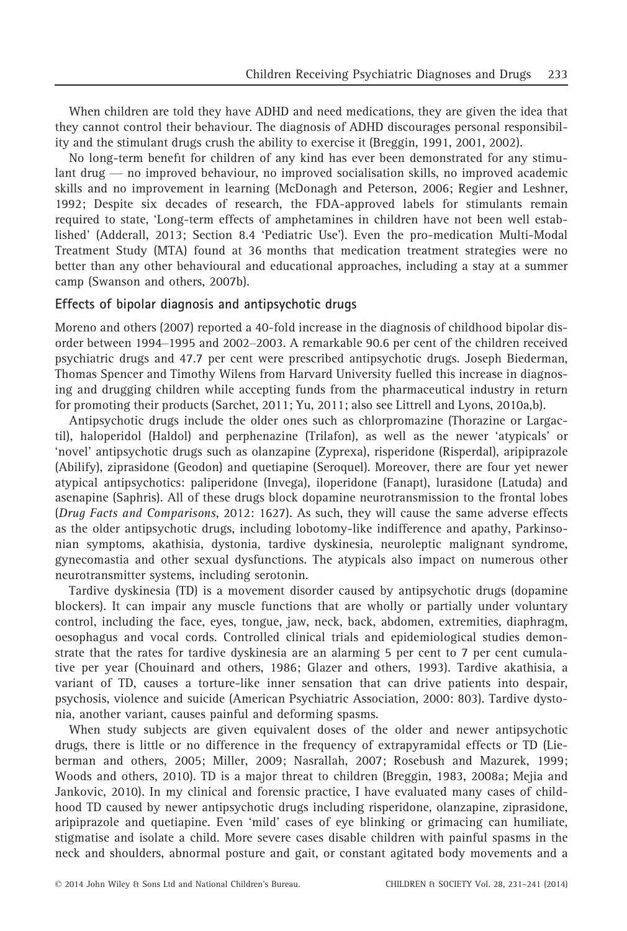When children are told they have ADHD and need medications, they are given the idea that they cannot control their behaviour. The diagnosis of ADHD discourages personal responsibility and the stimulant drugs crush the ability to exercise it (Breggin, 1991, 2001, 2002).

No long-term benefit for children of any kind has ever been demonstrated for any stimulant drug — no improved behaviour, no improved socialisation skills, no improved academic skills and no improvement in learning (McDonagh and Peterson, 2006; Regier and Leshner, 1992; Despite six decades of research, the FDA-approved labels for stimulants remain required to state, 'Long-term effects of amphetamines in children have not been well established' (Adderall, 2013; Section 8.4 'Pediatric Use'). Even the pro-medication Multi-Modal Treatment Study (MTA) found at 36 months that medication treatment strategies were no better than any other behavioural and educational approaches, including a stay at a summer camp (Swanson and others, 2007b).

#### Effects of bipolar diagnosis and antipsychotic drugs

Moreno and others (2007) reported a 40-fold increase in the diagnosis of childhood bipolar disorder between 1994–1995 and 2002–2003. A remarkable 90.6 per cent of the children received psychiatric drugs and 47.7 per cent were prescribed antipsychotic drugs. Joseph Biederman, Thomas Spencer and Timothy Wilens from Harvard University fuelled this increase in diagnosing and drugging children while accepting funds from the pharmaceutical industry in return for promoting their products (Sarchet, 2011; Yu, 2011; also see Littrell and Lyons, 2010a,b).

Antipsychotic drugs include the older ones such as chlorpromazine (Thorazine or Largactil), haloperidol (Haldol) and perphenazine (Trilafon), as well as the newer 'atypicals' or 'novel' antipsychotic drugs such as olanzapine (Zyprexa), risperidone (Risperdal), aripiprazole (Abilify), ziprasidone (Geodon) and quetiapine (Seroquel). Moreover, there are four yet newer atypical antipsychotics: paliperidone (Invega), iloperidone (Fanapt), lurasidone (Latuda) and asenapine (Saphris). All of these drugs block dopamine neurotransmission to the frontal lobes (Drug Facts and Comparisons, 2012: 1627). As such, they will cause the same adverse effects as the older antipsychotic drugs, including lobotomy-like indifference and apathy, Parkinsonian symptoms, akathisia, dystonia, tardive dyskinesia, neuroleptic malignant syndrome, gynecomastia and other sexual dysfunctions. The atypicals also impact on numerous other neurotransmitter systems, including serotonin.

Tardive dyskinesia (TD) is a movement disorder caused by antipsychotic drugs (dopamine blockers). It can impair any muscle functions that are wholly or partially under voluntary control, including the face, eyes, tongue, jaw, neck, back, abdomen, extremities, diaphragm, oesophagus and vocal cords. Controlled clinical trials and epidemiological studies demonstrate that the rates for tardive dyskinesia are an alarming 5 per cent to 7 per cent cumulative per year (Chouinard and others, 1986; Glazer and others, 1993). Tardive akathisia, a variant of TD, causes a torture-like inner sensation that can drive patients into despair, psychosis, violence and suicide (American Psychiatric Association, 2000: 803). Tardive dystonia, another variant, causes painful and deforming spasms.

When study subjects are given equivalent doses of the older and newer antipsychotic drugs, there is little or no difference in the frequency of extrapyramidal effects or TD (Lieberman and others, 2005; Miller, 2009; Nasrallah, 2007; Rosebush and Mazurek, 1999; Woods and others, 2010). TD is a major threat to children (Breggin, 1983, 2008a; Mejia and Jankovic, 2010). In my clinical and forensic practice, I have evaluated many cases of childhood TD caused by newer antipsychotic drugs including risperidone, olanzapine, ziprasidone, aripiprazole and quetiapine. Even 'mild' cases of eye blinking or grimacing can humiliate, stigmatise and isolate a child. More severe cases disable children with painful spasms in the neck and shoulders, abnormal posture and gait, or constant agitated body movements and a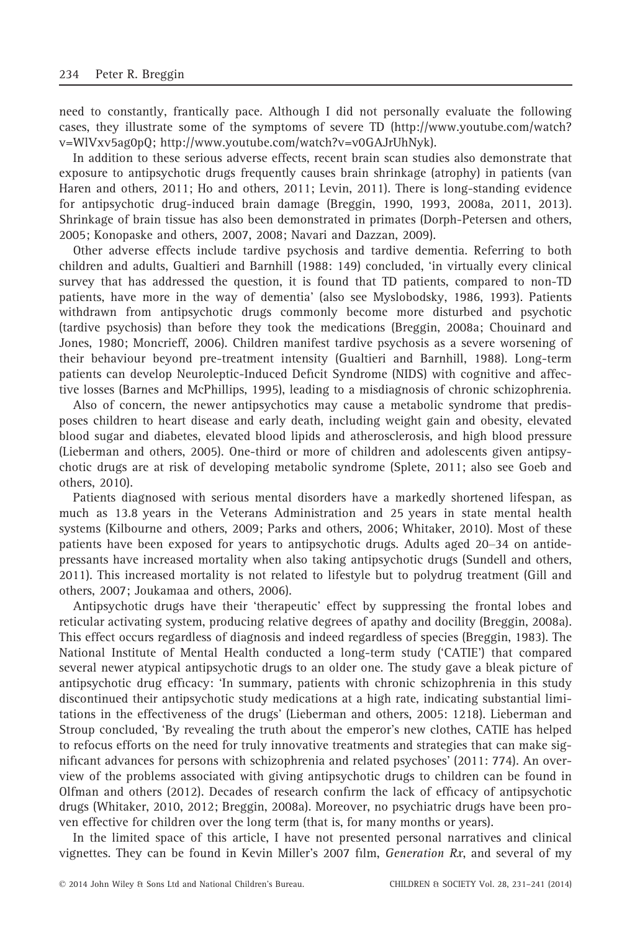need to constantly, frantically pace. Although I did not personally evaluate the following cases, they illustrate some of the symptoms of severe TD (http://www.youtube.com/watch? v=WlVxv5ag0pQ; http://www.youtube.com/watch?v=v0GAJrUhNyk).

In addition to these serious adverse effects, recent brain scan studies also demonstrate that exposure to antipsychotic drugs frequently causes brain shrinkage (atrophy) in patients (van Haren and others, 2011; Ho and others, 2011; Levin, 2011). There is long-standing evidence for antipsychotic drug-induced brain damage (Breggin, 1990, 1993, 2008a, 2011, 2013). Shrinkage of brain tissue has also been demonstrated in primates (Dorph-Petersen and others, 2005; Konopaske and others, 2007, 2008; Navari and Dazzan, 2009).

Other adverse effects include tardive psychosis and tardive dementia. Referring to both children and adults, Gualtieri and Barnhill (1988: 149) concluded, 'in virtually every clinical survey that has addressed the question, it is found that TD patients, compared to non-TD patients, have more in the way of dementia' (also see Myslobodsky, 1986, 1993). Patients withdrawn from antipsychotic drugs commonly become more disturbed and psychotic (tardive psychosis) than before they took the medications (Breggin, 2008a; Chouinard and Jones, 1980; Moncrieff, 2006). Children manifest tardive psychosis as a severe worsening of their behaviour beyond pre-treatment intensity (Gualtieri and Barnhill, 1988). Long-term patients can develop Neuroleptic-Induced Deficit Syndrome (NIDS) with cognitive and affective losses (Barnes and McPhillips, 1995), leading to a misdiagnosis of chronic schizophrenia.

Also of concern, the newer antipsychotics may cause a metabolic syndrome that predisposes children to heart disease and early death, including weight gain and obesity, elevated blood sugar and diabetes, elevated blood lipids and atherosclerosis, and high blood pressure (Lieberman and others, 2005). One-third or more of children and adolescents given antipsychotic drugs are at risk of developing metabolic syndrome (Splete, 2011; also see Goeb and others, 2010).

Patients diagnosed with serious mental disorders have a markedly shortened lifespan, as much as 13.8 years in the Veterans Administration and 25 years in state mental health systems (Kilbourne and others, 2009; Parks and others, 2006; Whitaker, 2010). Most of these patients have been exposed for years to antipsychotic drugs. Adults aged 20–34 on antidepressants have increased mortality when also taking antipsychotic drugs (Sundell and others, 2011). This increased mortality is not related to lifestyle but to polydrug treatment (Gill and others, 2007; Joukamaa and others, 2006).

Antipsychotic drugs have their 'therapeutic' effect by suppressing the frontal lobes and reticular activating system, producing relative degrees of apathy and docility (Breggin, 2008a). This effect occurs regardless of diagnosis and indeed regardless of species (Breggin, 1983). The National Institute of Mental Health conducted a long-term study ('CATIE') that compared several newer atypical antipsychotic drugs to an older one. The study gave a bleak picture of antipsychotic drug efficacy: 'In summary, patients with chronic schizophrenia in this study discontinued their antipsychotic study medications at a high rate, indicating substantial limitations in the effectiveness of the drugs' (Lieberman and others, 2005: 1218). Lieberman and Stroup concluded, 'By revealing the truth about the emperor's new clothes, CATIE has helped to refocus efforts on the need for truly innovative treatments and strategies that can make significant advances for persons with schizophrenia and related psychoses' (2011: 774). An overview of the problems associated with giving antipsychotic drugs to children can be found in Olfman and others (2012). Decades of research confirm the lack of efficacy of antipsychotic drugs (Whitaker, 2010, 2012; Breggin, 2008a). Moreover, no psychiatric drugs have been proven effective for children over the long term (that is, for many months or years).

In the limited space of this article, I have not presented personal narratives and clinical vignettes. They can be found in Kevin Miller's 2007 film, *Generation Rx*, and several of my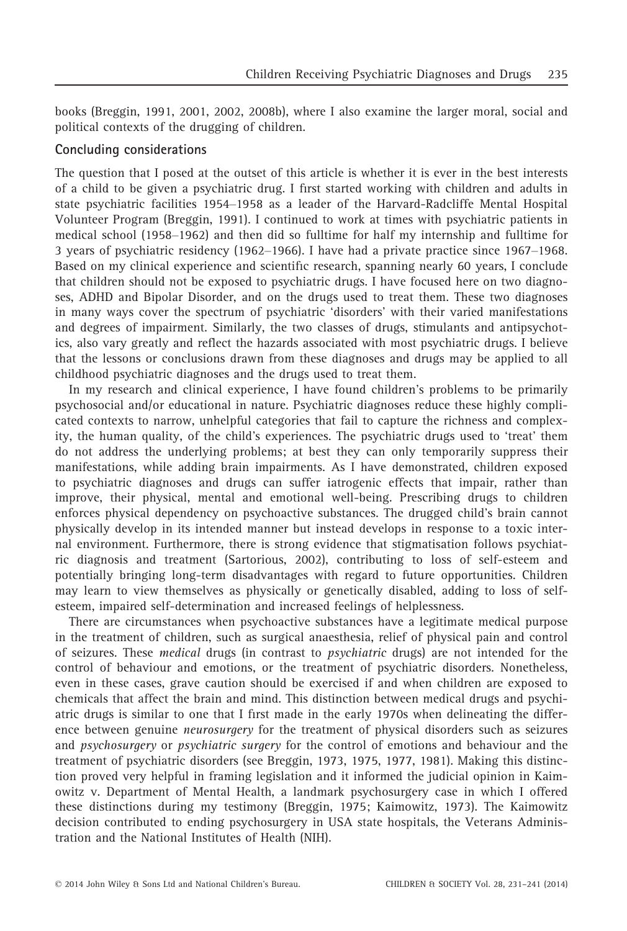books (Breggin, 1991, 2001, 2002, 2008b), where I also examine the larger moral, social and political contexts of the drugging of children.

#### Concluding considerations

The question that I posed at the outset of this article is whether it is ever in the best interests of a child to be given a psychiatric drug. I first started working with children and adults in state psychiatric facilities 1954–1958 as a leader of the Harvard-Radcliffe Mental Hospital Volunteer Program (Breggin, 1991). I continued to work at times with psychiatric patients in medical school (1958–1962) and then did so fulltime for half my internship and fulltime for 3 years of psychiatric residency (1962–1966). I have had a private practice since 1967–1968. Based on my clinical experience and scientific research, spanning nearly 60 years, I conclude that children should not be exposed to psychiatric drugs. I have focused here on two diagnoses, ADHD and Bipolar Disorder, and on the drugs used to treat them. These two diagnoses in many ways cover the spectrum of psychiatric 'disorders' with their varied manifestations and degrees of impairment. Similarly, the two classes of drugs, stimulants and antipsychotics, also vary greatly and reflect the hazards associated with most psychiatric drugs. I believe that the lessons or conclusions drawn from these diagnoses and drugs may be applied to all childhood psychiatric diagnoses and the drugs used to treat them.

In my research and clinical experience, I have found children's problems to be primarily psychosocial and/or educational in nature. Psychiatric diagnoses reduce these highly complicated contexts to narrow, unhelpful categories that fail to capture the richness and complexity, the human quality, of the child's experiences. The psychiatric drugs used to 'treat' them do not address the underlying problems; at best they can only temporarily suppress their manifestations, while adding brain impairments. As I have demonstrated, children exposed to psychiatric diagnoses and drugs can suffer iatrogenic effects that impair, rather than improve, their physical, mental and emotional well-being. Prescribing drugs to children enforces physical dependency on psychoactive substances. The drugged child's brain cannot physically develop in its intended manner but instead develops in response to a toxic internal environment. Furthermore, there is strong evidence that stigmatisation follows psychiatric diagnosis and treatment (Sartorious, 2002), contributing to loss of self-esteem and potentially bringing long-term disadvantages with regard to future opportunities. Children may learn to view themselves as physically or genetically disabled, adding to loss of selfesteem, impaired self-determination and increased feelings of helplessness.

There are circumstances when psychoactive substances have a legitimate medical purpose in the treatment of children, such as surgical anaesthesia, relief of physical pain and control of seizures. These medical drugs (in contrast to psychiatric drugs) are not intended for the control of behaviour and emotions, or the treatment of psychiatric disorders. Nonetheless, even in these cases, grave caution should be exercised if and when children are exposed to chemicals that affect the brain and mind. This distinction between medical drugs and psychiatric drugs is similar to one that I first made in the early 1970s when delineating the difference between genuine neurosurgery for the treatment of physical disorders such as seizures and psychosurgery or psychiatric surgery for the control of emotions and behaviour and the treatment of psychiatric disorders (see Breggin, 1973, 1975, 1977, 1981). Making this distinction proved very helpful in framing legislation and it informed the judicial opinion in Kaimowitz v. Department of Mental Health, a landmark psychosurgery case in which I offered these distinctions during my testimony (Breggin, 1975; Kaimowitz, 1973). The Kaimowitz decision contributed to ending psychosurgery in USA state hospitals, the Veterans Administration and the National Institutes of Health (NIH).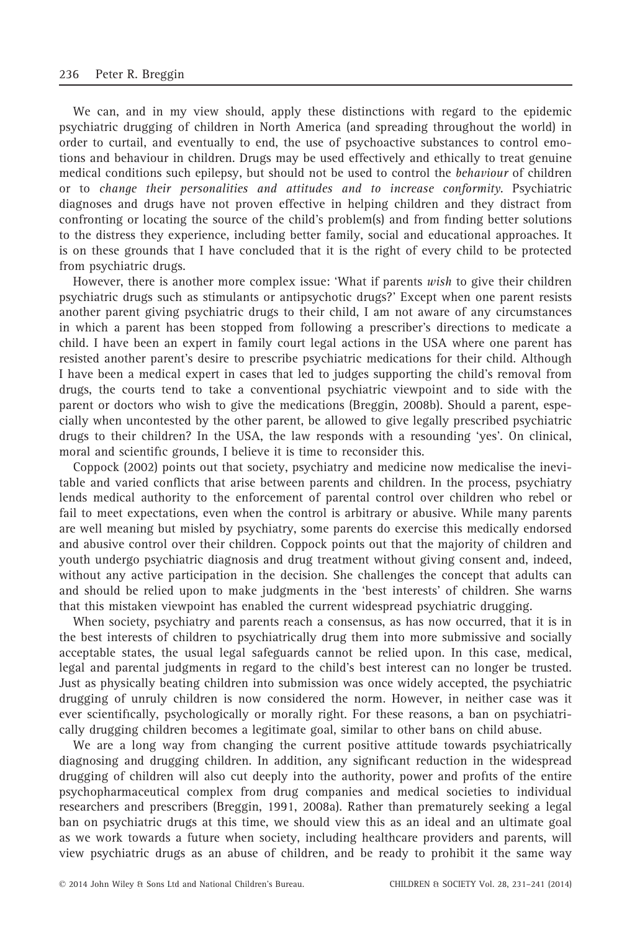We can, and in my view should, apply these distinctions with regard to the epidemic psychiatric drugging of children in North America (and spreading throughout the world) in order to curtail, and eventually to end, the use of psychoactive substances to control emotions and behaviour in children. Drugs may be used effectively and ethically to treat genuine medical conditions such epilepsy, but should not be used to control the behaviour of children or to change their personalities and attitudes and to increase conformity. Psychiatric diagnoses and drugs have not proven effective in helping children and they distract from confronting or locating the source of the child's problem(s) and from finding better solutions to the distress they experience, including better family, social and educational approaches. It is on these grounds that I have concluded that it is the right of every child to be protected from psychiatric drugs.

However, there is another more complex issue: 'What if parents wish to give their children psychiatric drugs such as stimulants or antipsychotic drugs?' Except when one parent resists another parent giving psychiatric drugs to their child, I am not aware of any circumstances in which a parent has been stopped from following a prescriber's directions to medicate a child. I have been an expert in family court legal actions in the USA where one parent has resisted another parent's desire to prescribe psychiatric medications for their child. Although I have been a medical expert in cases that led to judges supporting the child's removal from drugs, the courts tend to take a conventional psychiatric viewpoint and to side with the parent or doctors who wish to give the medications (Breggin, 2008b). Should a parent, especially when uncontested by the other parent, be allowed to give legally prescribed psychiatric drugs to their children? In the USA, the law responds with a resounding 'yes'. On clinical, moral and scientific grounds, I believe it is time to reconsider this.

Coppock (2002) points out that society, psychiatry and medicine now medicalise the inevitable and varied conflicts that arise between parents and children. In the process, psychiatry lends medical authority to the enforcement of parental control over children who rebel or fail to meet expectations, even when the control is arbitrary or abusive. While many parents are well meaning but misled by psychiatry, some parents do exercise this medically endorsed and abusive control over their children. Coppock points out that the majority of children and youth undergo psychiatric diagnosis and drug treatment without giving consent and, indeed, without any active participation in the decision. She challenges the concept that adults can and should be relied upon to make judgments in the 'best interests' of children. She warns that this mistaken viewpoint has enabled the current widespread psychiatric drugging.

When society, psychiatry and parents reach a consensus, as has now occurred, that it is in the best interests of children to psychiatrically drug them into more submissive and socially acceptable states, the usual legal safeguards cannot be relied upon. In this case, medical, legal and parental judgments in regard to the child's best interest can no longer be trusted. Just as physically beating children into submission was once widely accepted, the psychiatric drugging of unruly children is now considered the norm. However, in neither case was it ever scientifically, psychologically or morally right. For these reasons, a ban on psychiatrically drugging children becomes a legitimate goal, similar to other bans on child abuse.

We are a long way from changing the current positive attitude towards psychiatrically diagnosing and drugging children. In addition, any significant reduction in the widespread drugging of children will also cut deeply into the authority, power and profits of the entire psychopharmaceutical complex from drug companies and medical societies to individual researchers and prescribers (Breggin, 1991, 2008a). Rather than prematurely seeking a legal ban on psychiatric drugs at this time, we should view this as an ideal and an ultimate goal as we work towards a future when society, including healthcare providers and parents, will view psychiatric drugs as an abuse of children, and be ready to prohibit it the same way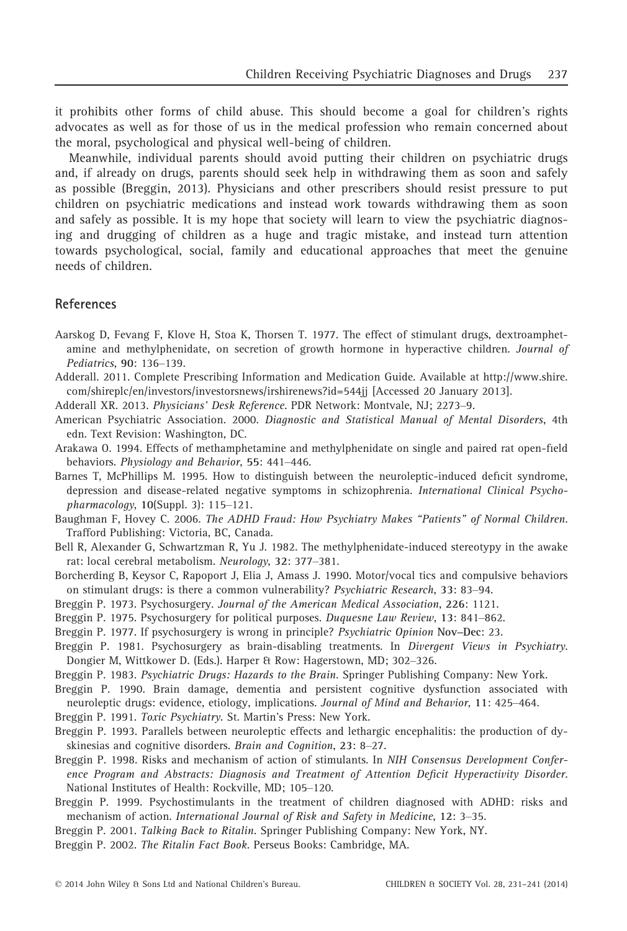it prohibits other forms of child abuse. This should become a goal for children's rights advocates as well as for those of us in the medical profession who remain concerned about the moral, psychological and physical well-being of children.

Meanwhile, individual parents should avoid putting their children on psychiatric drugs and, if already on drugs, parents should seek help in withdrawing them as soon and safely as possible (Breggin, 2013). Physicians and other prescribers should resist pressure to put children on psychiatric medications and instead work towards withdrawing them as soon and safely as possible. It is my hope that society will learn to view the psychiatric diagnosing and drugging of children as a huge and tragic mistake, and instead turn attention towards psychological, social, family and educational approaches that meet the genuine needs of children.

### References

- Aarskog D, Fevang F, Klove H, Stoa K, Thorsen T. 1977. The effect of stimulant drugs, dextroamphetamine and methylphenidate, on secretion of growth hormone in hyperactive children. Journal of Pediatrics, 90: 136–139.
- Adderall. 2011. Complete Prescribing Information and Medication Guide. Available at http://www.shire. com/shireplc/en/investors/investorsnews/irshirenews?id=544jj [Accessed 20 January 2013].

Adderall XR. 2013. Physicians' Desk Reference. PDR Network: Montvale, NJ; 2273–9.

American Psychiatric Association. 2000. Diagnostic and Statistical Manual of Mental Disorders, 4th edn. Text Revision: Washington, DC.

Arakawa O. 1994. Effects of methamphetamine and methylphenidate on single and paired rat open-field behaviors. Physiology and Behavior, 55: 441–446.

- Barnes T, McPhillips M. 1995. How to distinguish between the neuroleptic-induced deficit syndrome, depression and disease-related negative symptoms in schizophrenia. International Clinical Psychopharmacology, 10(Suppl. 3): 115–121.
- Baughman F, Hovey C. 2006. The ADHD Fraud: How Psychiatry Makes "Patients" of Normal Children. Trafford Publishing: Victoria, BC, Canada.

Bell R, Alexander G, Schwartzman R, Yu J. 1982. The methylphenidate-induced stereotypy in the awake rat: local cerebral metabolism. Neurology, 32: 377–381.

Borcherding B, Keysor C, Rapoport J, Elia J, Amass J. 1990. Motor/vocal tics and compulsive behaviors on stimulant drugs: is there a common vulnerability? Psychiatric Research, 33: 83–94.

Breggin P. 1973. Psychosurgery. Journal of the American Medical Association, 226: 1121.

- Breggin P. 1975. Psychosurgery for political purposes. Duquesne Law Review, 13: 841–862.
- Breggin P. 1977. If psychosurgery is wrong in principle? Psychiatric Opinion Nov–Dec: 23.

Breggin P. 1981. Psychosurgery as brain-disabling treatments. In Divergent Views in Psychiatry. Dongier M, Wittkower D. (Eds.). Harper & Row: Hagerstown, MD; 302–326.

Breggin P. 1983. Psychiatric Drugs: Hazards to the Brain. Springer Publishing Company: New York.

Breggin P. 1990. Brain damage, dementia and persistent cognitive dysfunction associated with neuroleptic drugs: evidence, etiology, implications. Journal of Mind and Behavior, 11: 425–464.

Breggin P. 1991. Toxic Psychiatry. St. Martin's Press: New York.

- Breggin P. 1993. Parallels between neuroleptic effects and lethargic encephalitis: the production of dyskinesias and cognitive disorders. Brain and Cognition, 23: 8–27.
- Breggin P. 1998. Risks and mechanism of action of stimulants. In NIH Consensus Development Conference Program and Abstracts: Diagnosis and Treatment of Attention Deficit Hyperactivity Disorder. National Institutes of Health: Rockville, MD; 105–120.
- Breggin P. 1999. Psychostimulants in the treatment of children diagnosed with ADHD: risks and mechanism of action. International Journal of Risk and Safety in Medicine, 12: 3–35.
- Breggin P. 2001. Talking Back to Ritalin. Springer Publishing Company: New York, NY.

Breggin P. 2002. The Ritalin Fact Book. Perseus Books: Cambridge, MA.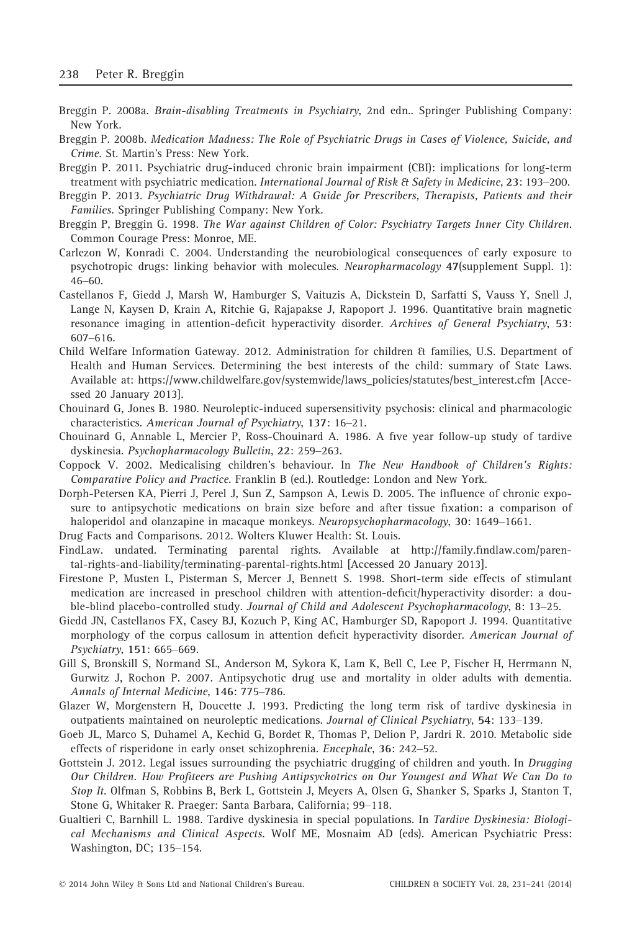- Breggin P. 2008a. Brain-disabling Treatments in Psychiatry, 2nd edn.. Springer Publishing Company: New York.
- Breggin P. 2008b. Medication Madness: The Role of Psychiatric Drugs in Cases of Violence, Suicide, and Crime. St. Martin's Press: New York.
- Breggin P. 2011. Psychiatric drug-induced chronic brain impairment (CBI): implications for long-term treatment with psychiatric medication. International Journal of Risk & Safety in Medicine, 23: 193–200.
- Breggin P. 2013. Psychiatric Drug Withdrawal: A Guide for Prescribers, Therapists, Patients and their Families. Springer Publishing Company: New York.
- Breggin P, Breggin G. 1998. The War against Children of Color: Psychiatry Targets Inner City Children. Common Courage Press: Monroe, ME.
- Carlezon W, Konradi C. 2004. Understanding the neurobiological consequences of early exposure to psychotropic drugs: linking behavior with molecules. Neuropharmacology 47(supplement Suppl. 1): 46–60.
- Castellanos F, Giedd J, Marsh W, Hamburger S, Vaituzis A, Dickstein D, Sarfatti S, Vauss Y, Snell J, Lange N, Kaysen D, Krain A, Ritchie G, Rajapakse J, Rapoport J. 1996. Quantitative brain magnetic resonance imaging in attention-deficit hyperactivity disorder. Archives of General Psychiatry, 53: 607–616.
- Child Welfare Information Gateway. 2012. Administration for children & families, U.S. Department of Health and Human Services. Determining the best interests of the child: summary of State Laws. Available at: https://www.childwelfare.gov/systemwide/laws\_policies/statutes/best\_interest.cfm [Accessed 20 January 2013].
- Chouinard G, Jones B. 1980. Neuroleptic-induced supersensitivity psychosis: clinical and pharmacologic characteristics. American Journal of Psychiatry, 137: 16–21.
- Chouinard G, Annable L, Mercier P, Ross-Chouinard A. 1986. A five year follow-up study of tardive dyskinesia. Psychopharmacology Bulletin, 22: 259–263.
- Coppock V. 2002. Medicalising children's behaviour. In The New Handbook of Children's Rights: Comparative Policy and Practice. Franklin B (ed.). Routledge: London and New York.
- Dorph-Petersen KA, Pierri J, Perel J, Sun Z, Sampson A, Lewis D. 2005. The influence of chronic exposure to antipsychotic medications on brain size before and after tissue fixation: a comparison of haloperidol and olanzapine in macaque monkeys. Neuropsychopharmacology, 30: 1649–1661.
- Drug Facts and Comparisons. 2012. Wolters Kluwer Health: St. Louis.
- FindLaw. undated. Terminating parental rights. Available at http://family.findlaw.com/parental-rights-and-liability/terminating-parental-rights.html [Accessed 20 January 2013].
- Firestone P, Musten L, Pisterman S, Mercer J, Bennett S. 1998. Short-term side effects of stimulant medication are increased in preschool children with attention-deficit/hyperactivity disorder: a double-blind placebo-controlled study. Journal of Child and Adolescent Psychopharmacology, 8: 13–25.
- Giedd JN, Castellanos FX, Casey BJ, Kozuch P, King AC, Hamburger SD, Rapoport J. 1994. Quantitative morphology of the corpus callosum in attention deficit hyperactivity disorder. American Journal of Psychiatry, 151: 665–669.
- Gill S, Bronskill S, Normand SL, Anderson M, Sykora K, Lam K, Bell C, Lee P, Fischer H, Herrmann N, Gurwitz J, Rochon P. 2007. Antipsychotic drug use and mortality in older adults with dementia. Annals of Internal Medicine, 146: 775–786.
- Glazer W, Morgenstern H, Doucette J. 1993. Predicting the long term risk of tardive dyskinesia in outpatients maintained on neuroleptic medications. Journal of Clinical Psychiatry, 54: 133–139.
- Goeb JL, Marco S, Duhamel A, Kechid G, Bordet R, Thomas P, Delion P, Jardri R. 2010. Metabolic side effects of risperidone in early onset schizophrenia. Encephale, 36: 242–52.
- Gottstein J. 2012. Legal issues surrounding the psychiatric drugging of children and youth. In Drugging Our Children. How Profiteers are Pushing Antipsychotrics on Our Youngest and What We Can Do to Stop It. Olfman S, Robbins B, Berk L, Gottstein J, Meyers A, Olsen G, Shanker S, Sparks J, Stanton T, Stone G, Whitaker R. Praeger: Santa Barbara, California; 99–118.
- Gualtieri C, Barnhill L. 1988. Tardive dyskinesia in special populations. In Tardive Dyskinesia: Biological Mechanisms and Clinical Aspects. Wolf ME, Mosnaim AD (eds). American Psychiatric Press: Washington, DC; 135–154.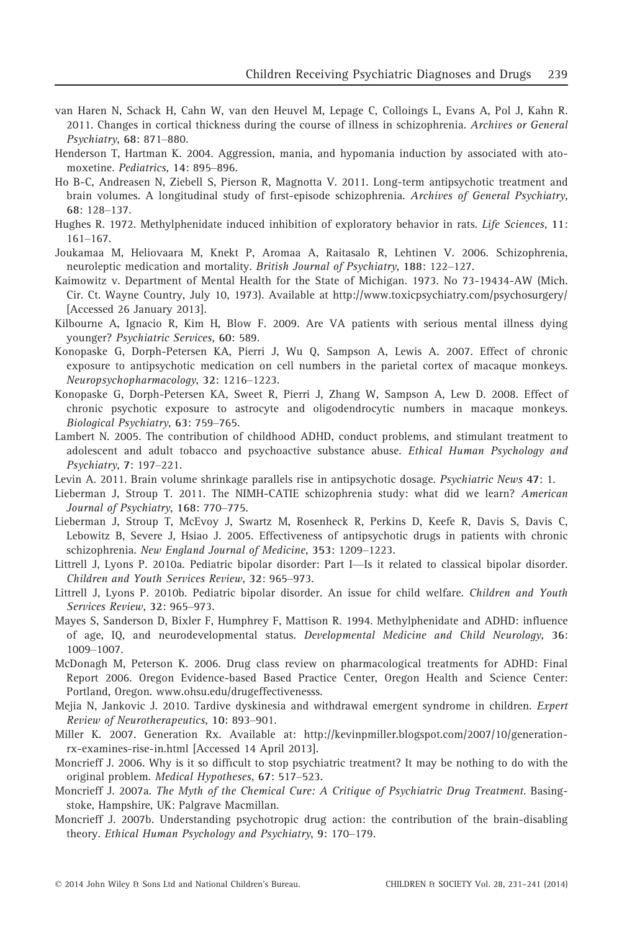- van Haren N, Schack H, Cahn W, van den Heuvel M, Lepage C, Colloings L, Evans A, Pol J, Kahn R. 2011. Changes in cortical thickness during the course of illness in schizophrenia. Archives or General Psychiatry, 68: 871–880.
- Henderson T, Hartman K. 2004. Aggression, mania, and hypomania induction by associated with atomoxetine. Pediatrics, 14: 895–896.
- Ho B-C, Andreasen N, Ziebell S, Pierson R, Magnotta V. 2011. Long-term antipsychotic treatment and brain volumes. A longitudinal study of first-episode schizophrenia. Archives of General Psychiatry, 68: 128–137.
- Hughes R. 1972. Methylphenidate induced inhibition of exploratory behavior in rats. Life Sciences, 11: 161–167.
- Joukamaa M, Heliovaara M, Knekt P, Aromaa A, Raitasalo R, Lehtinen V. 2006. Schizophrenia, neuroleptic medication and mortality. British Journal of Psychiatry, 188: 122–127.
- Kaimowitz v. Department of Mental Health for the State of Michigan. 1973. No 73-19434-AW (Mich. Cir. Ct. Wayne Country, July 10, 1973). Available at http://www.toxicpsychiatry.com/psychosurgery/ [Accessed 26 January 2013].
- Kilbourne A, Ignacio R, Kim H, Blow F. 2009. Are VA patients with serious mental illness dying younger? Psychiatric Services, 60: 589.
- Konopaske G, Dorph-Petersen KA, Pierri J, Wu Q, Sampson A, Lewis A. 2007. Effect of chronic exposure to antipsychotic medication on cell numbers in the parietal cortex of macaque monkeys. Neuropsychopharmacology, 32: 1216–1223.
- Konopaske G, Dorph-Petersen KA, Sweet R, Pierri J, Zhang W, Sampson A, Lew D. 2008. Effect of chronic psychotic exposure to astrocyte and oligodendrocytic numbers in macaque monkeys. Biological Psychiatry, 63: 759–765.
- Lambert N. 2005. The contribution of childhood ADHD, conduct problems, and stimulant treatment to adolescent and adult tobacco and psychoactive substance abuse. Ethical Human Psychology and Psychiatry, 7: 197–221.
- Levin A. 2011. Brain volume shrinkage parallels rise in antipsychotic dosage. Psychiatric News 47: 1.
- Lieberman J, Stroup T. 2011. The NIMH-CATIE schizophrenia study: what did we learn? American Journal of Psychiatry, 168: 770–775.
- Lieberman J, Stroup T, McEvoy J, Swartz M, Rosenheck R, Perkins D, Keefe R, Davis S, Davis C, Lebowitz B, Severe J, Hsiao J. 2005. Effectiveness of antipsychotic drugs in patients with chronic schizophrenia. New England Journal of Medicine, 353: 1209–1223.
- Littrell J, Lyons P. 2010a. Pediatric bipolar disorder: Part I—Is it related to classical bipolar disorder. Children and Youth Services Review, 32: 965–973.
- Littrell J, Lyons P. 2010b. Pediatric bipolar disorder. An issue for child welfare. Children and Youth Services Review, 32: 965–973.
- Mayes S, Sanderson D, Bixler F, Humphrey F, Mattison R. 1994. Methylphenidate and ADHD: influence of age, IQ, and neurodevelopmental status. Developmental Medicine and Child Neurology, 36: 1009–1007.
- McDonagh M, Peterson K. 2006. Drug class review on pharmacological treatments for ADHD: Final Report 2006. Oregon Evidence-based Based Practice Center, Oregon Health and Science Center: Portland, Oregon. www.ohsu.edu/drugeffectivenesss.
- Mejia N, Jankovic J. 2010. Tardive dyskinesia and withdrawal emergent syndrome in children. Expert Review of Neurotherapeutics, 10: 893–901.
- Miller K. 2007. Generation Rx. Available at: http://kevinpmiller.blogspot.com/2007/10/generationrx-examines-rise-in.html [Accessed 14 April 2013].
- Moncrieff J. 2006. Why is it so difficult to stop psychiatric treatment? It may be nothing to do with the original problem. Medical Hypotheses, 67: 517–523.
- Moncrieff J. 2007a. The Myth of the Chemical Cure: A Critique of Psychiatric Drug Treatment. Basingstoke, Hampshire, UK: Palgrave Macmillan.
- Moncrieff J. 2007b. Understanding psychotropic drug action: the contribution of the brain-disabling theory. Ethical Human Psychology and Psychiatry, 9: 170–179.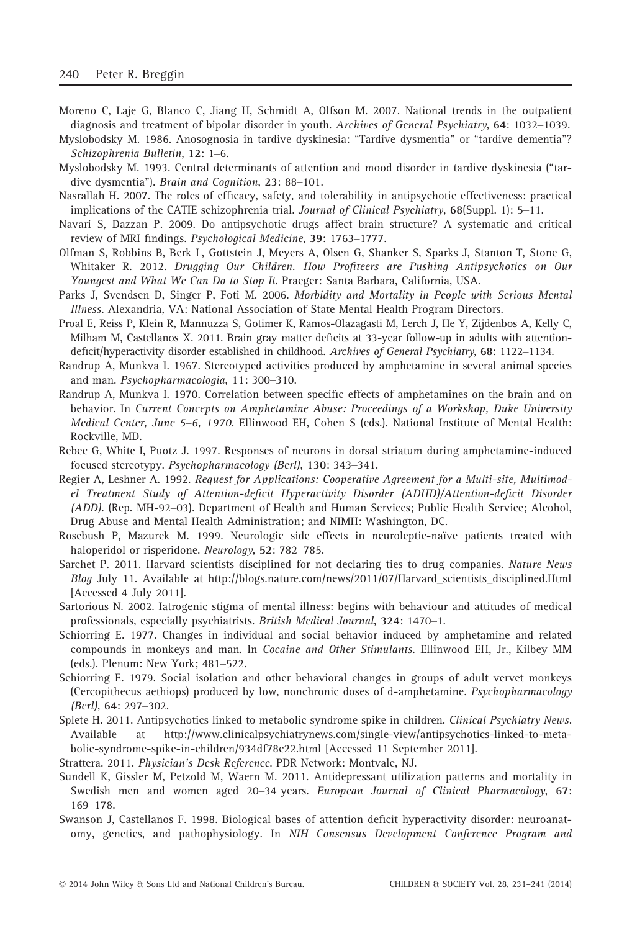- Moreno C, Laje G, Blanco C, Jiang H, Schmidt A, Olfson M. 2007. National trends in the outpatient diagnosis and treatment of bipolar disorder in youth. Archives of General Psychiatry, 64: 1032–1039.
- Myslobodsky M. 1986. Anosognosia in tardive dyskinesia: "Tardive dysmentia" or "tardive dementia"? Schizophrenia Bulletin, 12: 1–6.
- Myslobodsky M. 1993. Central determinants of attention and mood disorder in tardive dyskinesia ("tardive dysmentia"). Brain and Cognition, 23: 88–101.
- Nasrallah H. 2007. The roles of efficacy, safety, and tolerability in antipsychotic effectiveness: practical implications of the CATIE schizophrenia trial. Journal of Clinical Psychiatry, 68(Suppl. 1): 5–11.
- Navari S, Dazzan P. 2009. Do antipsychotic drugs affect brain structure? A systematic and critical review of MRI findings. Psychological Medicine, 39: 1763–1777.
- Olfman S, Robbins B, Berk L, Gottstein J, Meyers A, Olsen G, Shanker S, Sparks J, Stanton T, Stone G, Whitaker R. 2012. Drugging Our Children. How Profiteers are Pushing Antipsychotics on Our Youngest and What We Can Do to Stop It. Praeger: Santa Barbara, California, USA.
- Parks J, Svendsen D, Singer P, Foti M. 2006. Morbidity and Mortality in People with Serious Mental Illness. Alexandria, VA: National Association of State Mental Health Program Directors.
- Proal E, Reiss P, Klein R, Mannuzza S, Gotimer K, Ramos-Olazagasti M, Lerch J, He Y, Zijdenbos A, Kelly C, Milham M, Castellanos X. 2011. Brain gray matter deficits at 33-year follow-up in adults with attentiondeficit/hyperactivity disorder established in childhood. Archives of General Psychiatry, 68: 1122–1134.
- Randrup A, Munkva I. 1967. Stereotyped activities produced by amphetamine in several animal species and man. Psychopharmacologia, 11: 300–310.
- Randrup A, Munkva I. 1970. Correlation between specific effects of amphetamines on the brain and on behavior. In Current Concepts on Amphetamine Abuse: Proceedings of a Workshop, Duke University Medical Center, June 5–6, 1970. Ellinwood EH, Cohen S (eds.). National Institute of Mental Health: Rockville, MD.
- Rebec G, White I, Puotz J. 1997. Responses of neurons in dorsal striatum during amphetamine-induced focused stereotypy. Psychopharmacology (Berl), 130: 343–341.
- Regier A, Leshner A. 1992. Request for Applications: Cooperative Agreement for a Multi-site, Multimodel Treatment Study of Attention-deficit Hyperactivity Disorder (ADHD)/Attention-deficit Disorder (ADD). (Rep. MH-92–03). Department of Health and Human Services; Public Health Service; Alcohol, Drug Abuse and Mental Health Administration; and NIMH: Washington, DC.
- Rosebush P, Mazurek M. 1999. Neurologic side effects in neuroleptic-naïve patients treated with haloperidol or risperidone. Neurology, 52: 782–785.
- Sarchet P. 2011. Harvard scientists disciplined for not declaring ties to drug companies. Nature News Blog July 11. Available at http://blogs.nature.com/news/2011/07/Harvard\_scientists\_disciplined.Html [Accessed 4 July 2011].
- Sartorious N. 2002. Iatrogenic stigma of mental illness: begins with behaviour and attitudes of medical professionals, especially psychiatrists. British Medical Journal, 324: 1470–1.
- Schiorring E. 1977. Changes in individual and social behavior induced by amphetamine and related compounds in monkeys and man. In Cocaine and Other Stimulants. Ellinwood EH, Jr., Kilbey MM (eds.). Plenum: New York; 481–522.
- Schiorring E. 1979. Social isolation and other behavioral changes in groups of adult vervet monkeys (Cercopithecus aethiops) produced by low, nonchronic doses of d-amphetamine. Psychopharmacology (Berl), 64: 297–302.
- Splete H. 2011. Antipsychotics linked to metabolic syndrome spike in children. Clinical Psychiatry News. Available at http://www.clinicalpsychiatrynews.com/single-view/antipsychotics-linked-to-metabolic-syndrome-spike-in-children/934df78c22.html [Accessed 11 September 2011].
- Strattera. 2011. Physician's Desk Reference. PDR Network: Montvale, NJ.
- Sundell K, Gissler M, Petzold M, Waern M. 2011. Antidepressant utilization patterns and mortality in Swedish men and women aged 20–34 years. European Journal of Clinical Pharmacology, 67: 169–178.
- Swanson J, Castellanos F. 1998. Biological bases of attention deficit hyperactivity disorder: neuroanatomy, genetics, and pathophysiology. In NIH Consensus Development Conference Program and